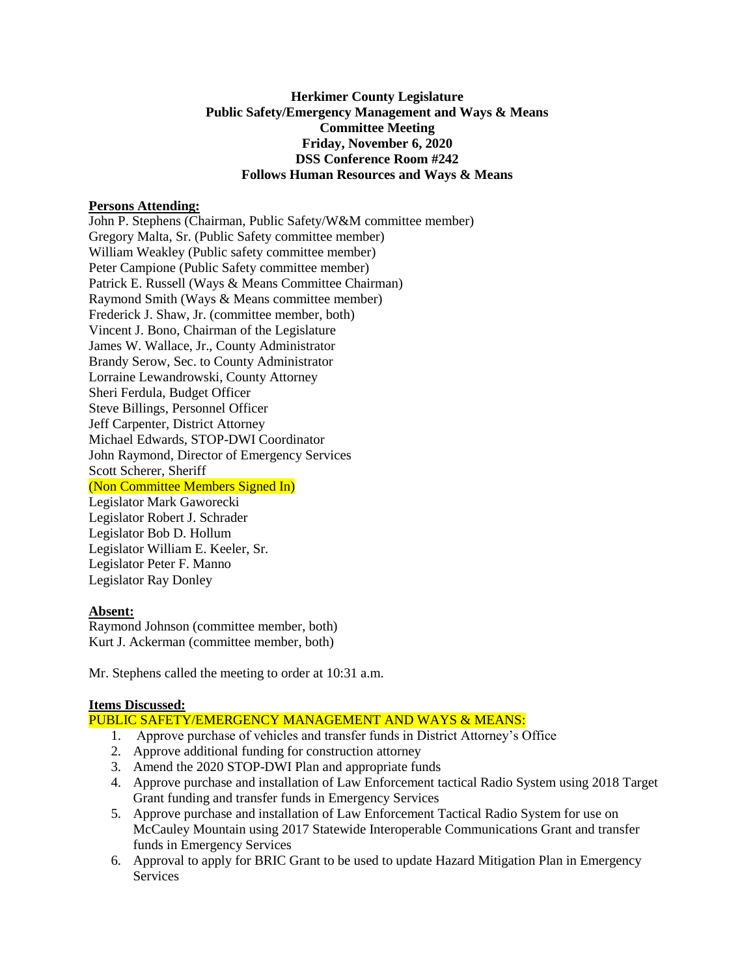## **Herkimer County Legislature Public Safety/Emergency Management and Ways & Means Committee Meeting Friday, November 6, 2020 DSS Conference Room #242 Follows Human Resources and Ways & Means**

### **Persons Attending:**

John P. Stephens (Chairman, Public Safety/W&M committee member) Gregory Malta, Sr. (Public Safety committee member) William Weakley (Public safety committee member) Peter Campione (Public Safety committee member) Patrick E. Russell (Ways & Means Committee Chairman) Raymond Smith (Ways & Means committee member) Frederick J. Shaw, Jr. (committee member, both) Vincent J. Bono, Chairman of the Legislature James W. Wallace, Jr., County Administrator Brandy Serow, Sec. to County Administrator Lorraine Lewandrowski, County Attorney Sheri Ferdula, Budget Officer Steve Billings, Personnel Officer Jeff Carpenter, District Attorney Michael Edwards, STOP-DWI Coordinator John Raymond, Director of Emergency Services Scott Scherer, Sheriff (Non Committee Members Signed In) Legislator Mark Gaworecki Legislator Robert J. Schrader Legislator Bob D. Hollum Legislator William E. Keeler, Sr. Legislator Peter F. Manno Legislator Ray Donley

### **Absent:**

Raymond Johnson (committee member, both) Kurt J. Ackerman (committee member, both)

Mr. Stephens called the meeting to order at 10:31 a.m.

#### **Items Discussed:**

PUBLIC SAFETY/EMERGENCY MANAGEMENT AND WAYS & MEANS:

- 1. Approve purchase of vehicles and transfer funds in District Attorney's Office
- 2. Approve additional funding for construction attorney
- 3. Amend the 2020 STOP-DWI Plan and appropriate funds
- 4. Approve purchase and installation of Law Enforcement tactical Radio System using 2018 Target Grant funding and transfer funds in Emergency Services
- 5. Approve purchase and installation of Law Enforcement Tactical Radio System for use on McCauley Mountain using 2017 Statewide Interoperable Communications Grant and transfer funds in Emergency Services
- 6. Approval to apply for BRIC Grant to be used to update Hazard Mitigation Plan in Emergency **Services**